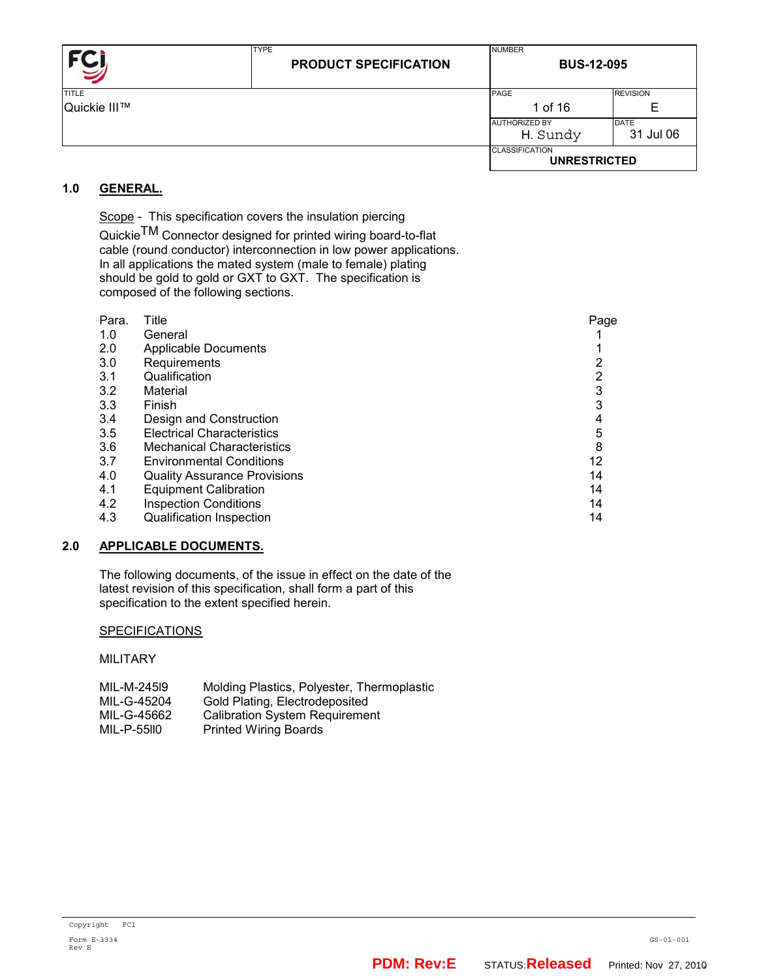| FC           | <b>TYPE</b><br><b>PRODUCT SPECIFICATION</b> | <b>NUMBER</b><br><b>BUS-12-095</b>           |                 |
|--------------|---------------------------------------------|----------------------------------------------|-----------------|
| <b>TITLE</b> |                                             | PAGE                                         | <b>REVISION</b> |
| Quickie III™ |                                             | 1 of 16                                      | Е               |
|              |                                             | <b>AUTHORIZED BY</b>                         | <b>DATE</b>     |
|              |                                             | H. Sundy                                     | 31 Jul 06       |
|              |                                             | <b>CLASSIFICATION</b><br><b>UNRESTRICTED</b> |                 |

# **1.0 GENERAL.**

Scope - This specification covers the insulation piercing Quickie $\mathsf{T}\mathsf{M}$  Connector designed for printed wiring board-to-flat cable (round conductor) interconnection in low power applications. In all applications the mated system (male to female) plating should be gold to gold or GXT to GXT. The specification is composed of the following sections.

| Para. | Title                               | Page |
|-------|-------------------------------------|------|
| 1.0   | General                             |      |
| 2.0   | <b>Applicable Documents</b>         |      |
| 3.0   | Requirements                        |      |
| 3.1   | Qualification                       |      |
| 3.2   | Material                            | 3    |
| 3.3   | Finish                              | 3    |
| 3.4   | Design and Construction             | 4    |
| 3.5   | <b>Electrical Characteristics</b>   | 5    |
| 3.6   | <b>Mechanical Characteristics</b>   | 8    |
| 3.7   | <b>Environmental Conditions</b>     | 12   |
| 4.0   | <b>Quality Assurance Provisions</b> | 14   |
| 4.1   | <b>Equipment Calibration</b>        | 14   |
| 4.2   | <b>Inspection Conditions</b>        | 14   |
| 4.3   | <b>Qualification Inspection</b>     | 14   |

## **2.0 APPLICABLE DOCUMENTS.**

 The following documents, of the issue in effect on the date of the latest revision of this specification, shall form a part of this specification to the extent specified herein.

## **SPECIFICATIONS**

MILITARY

| MIL-M-24519 | Molding Plastics, Polyester, Thermoplastic |
|-------------|--------------------------------------------|
| MIL-G-45204 | Gold Plating, Electrodeposited             |
| MIL-G-45662 | <b>Calibration System Requirement</b>      |
| MIL-P-55110 | <b>Printed Wiring Boards</b>               |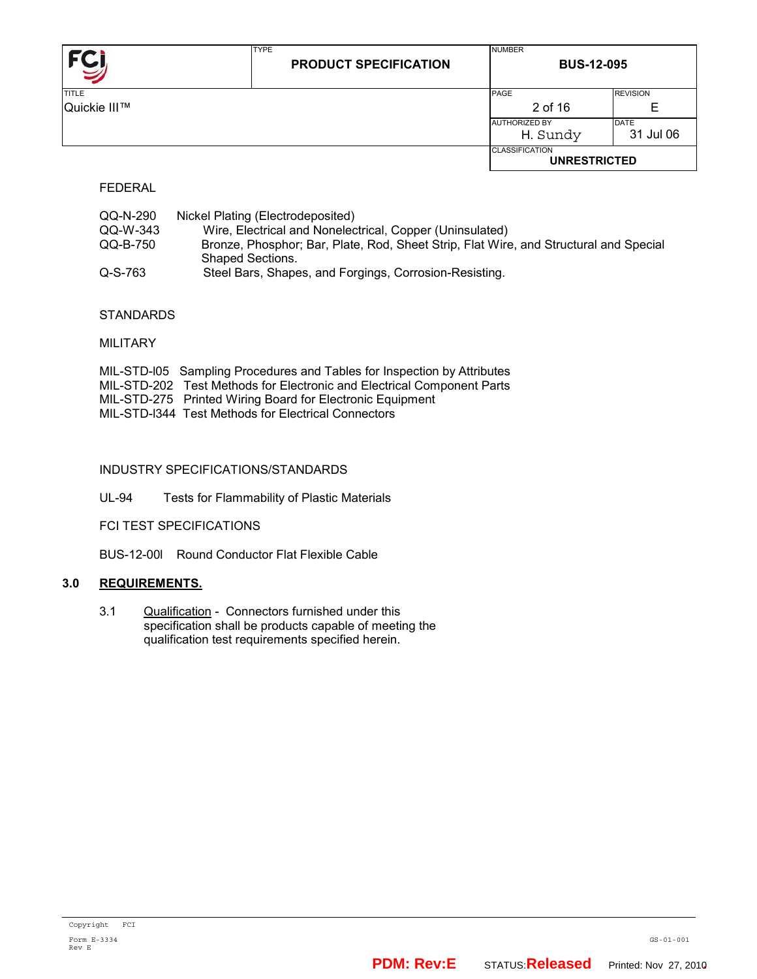|              | <b>TYPE</b><br><b>PRODUCT SPECIFICATION</b> | <b>NUMBER</b><br><b>BUS-12-095</b>           |                 |
|--------------|---------------------------------------------|----------------------------------------------|-----------------|
| <b>TITLE</b> |                                             | PAGE                                         | <b>REVISION</b> |
| Quickie III™ |                                             | 2 of 16                                      | Е               |
|              |                                             | <b>AUTHORIZED BY</b>                         | <b>DATE</b>     |
|              |                                             | H. Sundy                                     | 31 Jul 06       |
|              |                                             | <b>CLASSIFICATION</b><br><b>UNRESTRICTED</b> |                 |

FEDERAL

| QQ-N-290 | Nickel Plating (Electrodeposited)                                                     |
|----------|---------------------------------------------------------------------------------------|
| QQ-W-343 | Wire, Electrical and Nonelectrical, Copper (Uninsulated)                              |
| QQ-B-750 | Bronze, Phosphor; Bar, Plate, Rod, Sheet Strip, Flat Wire, and Structural and Special |
|          | Shaped Sections.                                                                      |
| Q-S-763  | Steel Bars, Shapes, and Forgings, Corrosion-Resisting.                                |

# **STANDARDS**

MILITARY

| MIL-STD-105 Sampling Procedures and Tables for Inspection by Attributes |
|-------------------------------------------------------------------------|
| MIL-STD-202 Test Methods for Electronic and Electrical Component Parts  |
| MIL-STD-275 Printed Wiring Board for Electronic Equipment               |
| MIL-STD-1344 Test Methods for Electrical Connectors                     |

## INDUSTRY SPECIFICATIONS/STANDARDS

UL-94 Tests for Flammability of Plastic Materials

FCI TEST SPECIFICATIONS

BUS-12-00l Round Conductor Flat Flexible Cable

## **3.0 REQUIREMENTS.**

3.1 Qualification - Connectors furnished under this specification shall be products capable of meeting the qualification test requirements specified herein.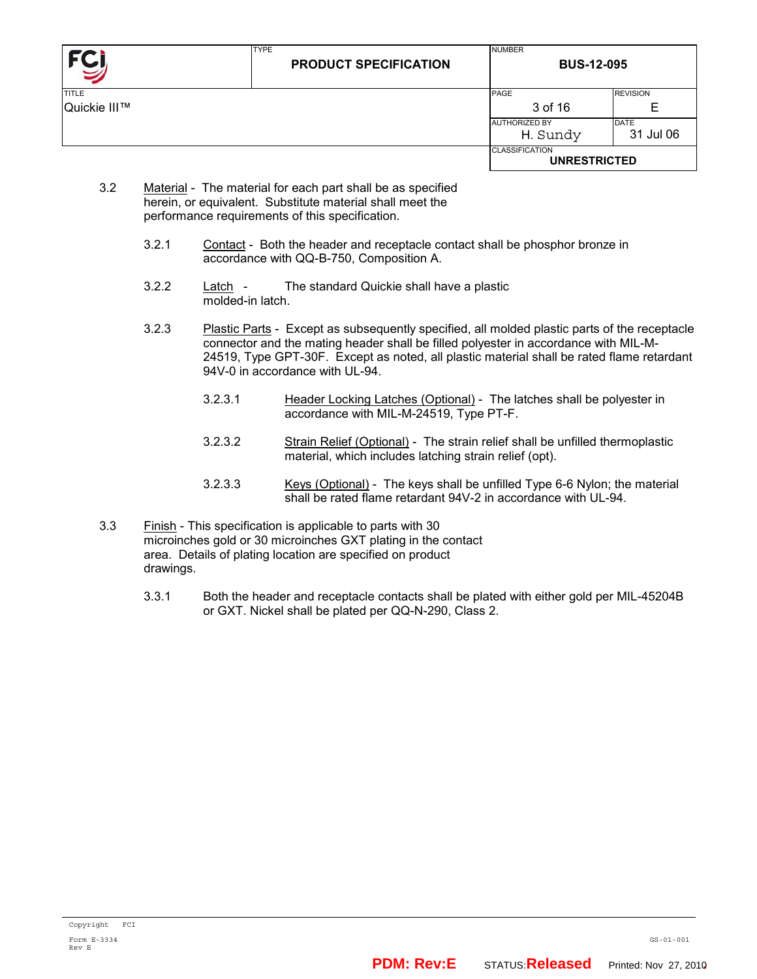| <b>FCI</b>   | <b>TYPE</b><br><b>PRODUCT SPECIFICATION</b> | <b>NUMBER</b><br><b>BUS-12-095</b>           |                          |
|--------------|---------------------------------------------|----------------------------------------------|--------------------------|
| <b>TITLE</b> |                                             | PAGE                                         | <b>REVISION</b>          |
| Quickie III™ |                                             | 3 of 16                                      | Е                        |
|              |                                             | <b>AUTHORIZED BY</b><br>H. Sundy             | <b>DATE</b><br>31 Jul 06 |
|              |                                             | <b>CLASSIFICATION</b><br><b>UNRESTRICTED</b> |                          |

- 3.2 Material The material for each part shall be as specified herein, or equivalent. Substitute material shall meet the performance requirements of this specification.
	- 3.2.1 Contact Both the header and receptacle contact shall be phosphor bronze in accordance with QQ-B-750, Composition A.
	- 3.2.2 Latch The standard Quickie shall have a plastic molded-in latch.
	- 3.2.3 Plastic Parts Except as subsequently specified, all molded plastic parts of the receptacle connector and the mating header shall be filled polyester in accordance with MIL-M-24519, Type GPT-30F. Except as noted, all plastic material shall be rated flame retardant 94V-0 in accordance with UL-94.
		- 3.2.3.1 Header Locking Latches (Optional) The latches shall be polyester in accordance with MIL-M-24519, Type PT-F.
		- 3.2.3.2 Strain Relief (Optional) The strain relief shall be unfilled thermoplastic material, which includes latching strain relief (opt).
		- 3.2.3.3 Keys (Optional) The keys shall be unfilled Type 6-6 Nylon; the material shall be rated flame retardant 94V-2 in accordance with UL-94.
- 3.3 Finish This specification is applicable to parts with 30 microinches gold or 30 microinches GXT plating in the contact area. Details of plating location are specified on product drawings.
	- 3.3.1 Both the header and receptacle contacts shall be plated with either gold per MIL-45204B or GXT. Nickel shall be plated per QQ-N-290, Class 2.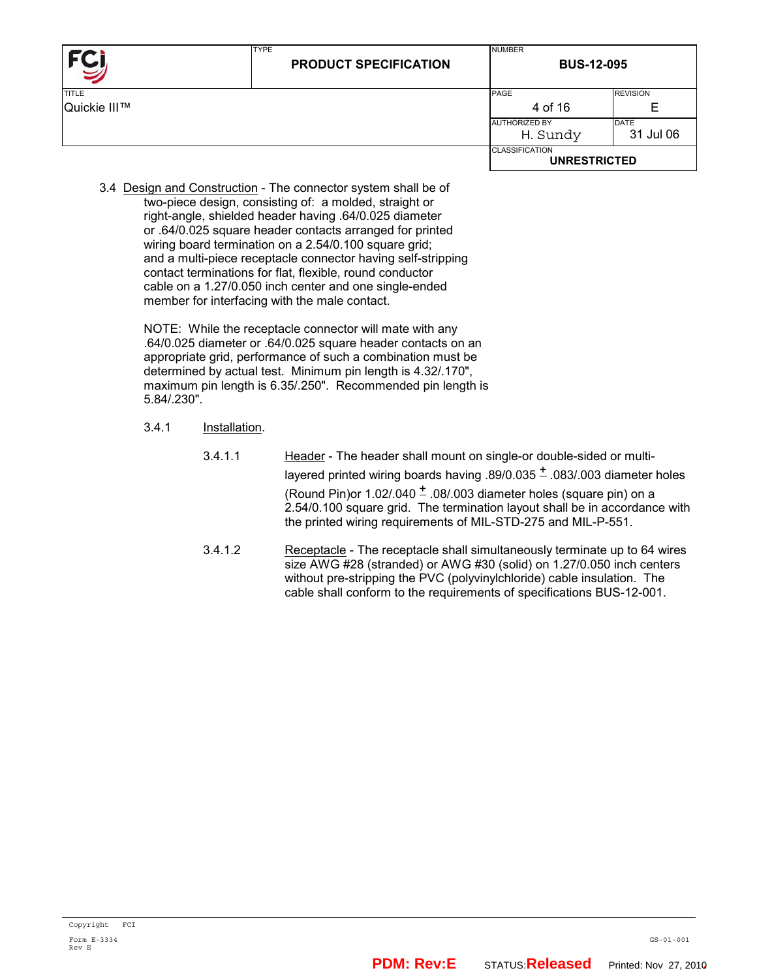|                              | <b>TYPE</b><br><b>PRODUCT SPECIFICATION</b> | <b>NUMBER</b><br><b>BUS-12-095</b>           |                               |
|------------------------------|---------------------------------------------|----------------------------------------------|-------------------------------|
| <b>TITLE</b><br>Quickie III™ |                                             | PAGE<br>4 of 16                              | <b>REVISION</b>               |
|                              |                                             | <b>AUTHORIZED BY</b><br>H. Sundy             | E<br><b>DATE</b><br>31 Jul 06 |
|                              |                                             | <b>CLASSIFICATION</b><br><b>UNRESTRICTED</b> |                               |

 3.4 Design and Construction - The connector system shall be of two-piece design, consisting of: a molded, straight or right-angle, shielded header having .64/0.025 diameter or .64/0.025 square header contacts arranged for printed wiring board termination on a 2.54/0.100 square grid; and a multi-piece receptacle connector having self-stripping contact terminations for flat, flexible, round conductor cable on a 1.27/0.050 inch center and one single-ended member for interfacing with the male contact.

> NOTE: While the receptacle connector will mate with any .64/0.025 diameter or .64/0.025 square header contacts on an appropriate grid, performance of such a combination must be determined by actual test. Minimum pin length is 4.32/.170", maximum pin length is 6.35/.250". Recommended pin length is 5.84/.230".

- 3.4.1 Installation.
	- 3.4.1.1 Header The header shall mount on single-or double-sided or multilayered printed wiring boards having .89/0.035  $\pm$  .083/.003 diameter holes (Round Pin)or 1.02/.040  $\pm$  .08/.003 diameter holes (square pin) on a 2.54/0.100 square grid. The termination layout shall be in accordance with the printed wiring requirements of MIL-STD-275 and MIL-P-551.
	- 3.4.1.2 Receptacle The receptacle shall simultaneously terminate up to 64 wires size AWG #28 (stranded) or AWG #30 (solid) on 1.27/0.050 inch centers without pre-stripping the PVC (polyvinylchloride) cable insulation. The cable shall conform to the requirements of specifications BUS-12-001.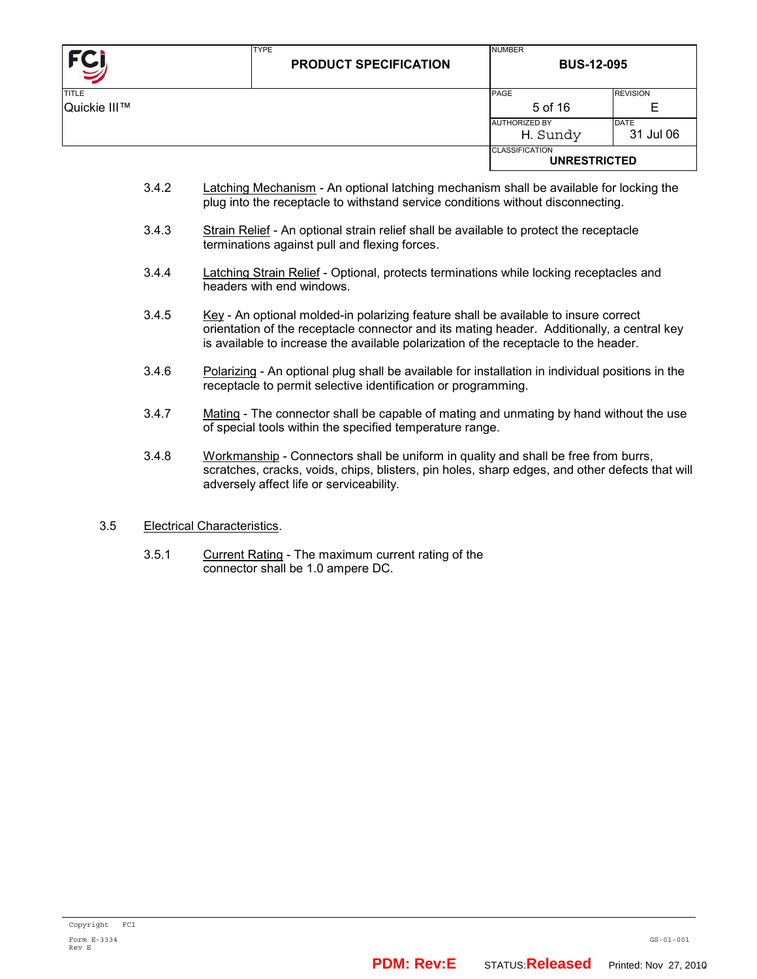| FCI          | <b>TYPE</b><br><b>PRODUCT SPECIFICATION</b> | <b>NUMBER</b><br><b>BUS-12-095</b>           |                          |
|--------------|---------------------------------------------|----------------------------------------------|--------------------------|
| <b>TITLE</b> |                                             | PAGE                                         | <b>REVISION</b>          |
| Quickie III™ |                                             | 5 of 16                                      | E                        |
|              |                                             | <b>AUTHORIZED BY</b><br>H. Sundy             | <b>DATE</b><br>31 Jul 06 |
|              |                                             | <b>CLASSIFICATION</b><br><b>UNRESTRICTED</b> |                          |

- 3.4.2 Latching Mechanism An optional latching mechanism shall be available for locking the plug into the receptacle to withstand service conditions without disconnecting.
- 3.4.3 Strain Relief An optional strain relief shall be available to protect the receptacle terminations against pull and flexing forces.
- 3.4.4 Latching Strain Relief Optional, protects terminations while locking receptacles and headers with end windows.
- 3.4.5 Key An optional molded-in polarizing feature shall be available to insure correct orientation of the receptacle connector and its mating header. Additionally, a central key is available to increase the available polarization of the receptacle to the header.
- 3.4.6 Polarizing An optional plug shall be available for installation in individual positions in the receptacle to permit selective identification or programming.
- 3.4.7 Mating The connector shall be capable of mating and unmating by hand without the use of special tools within the specified temperature range.
- 3.4.8 Workmanship Connectors shall be uniform in quality and shall be free from burrs, scratches, cracks, voids, chips, blisters, pin holes, sharp edges, and other defects that will adversely affect life or serviceability.

## 3.5 Electrical Characteristics.

 3.5.1 Current Rating - The maximum current rating of the connector shall be 1.0 ampere DC.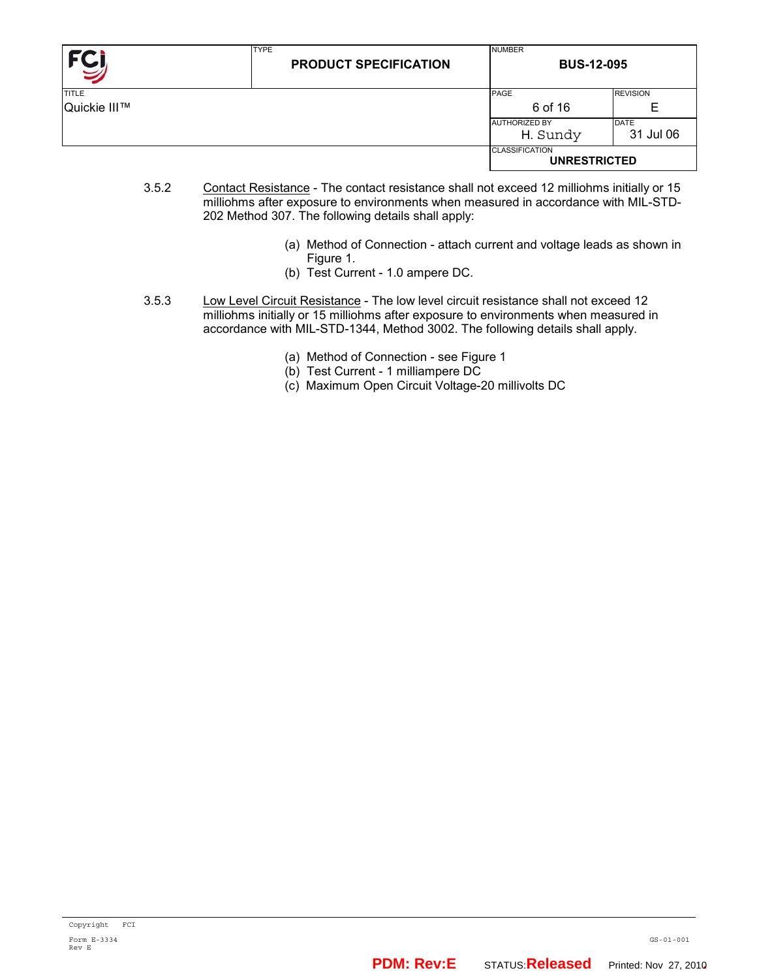|              | <b>TYPE</b><br><b>PRODUCT SPECIFICATION</b> | <b>NUMBER</b><br><b>BUS-12-095</b>           |                 |
|--------------|---------------------------------------------|----------------------------------------------|-----------------|
| <b>TITLE</b> |                                             | PAGE                                         | <b>REVISION</b> |
| Quickie III™ |                                             | 6 of 16                                      | Е               |
|              |                                             | <b>AUTHORIZED BY</b>                         | <b>DATE</b>     |
|              |                                             | H. Sundy                                     | 31 Jul 06       |
|              |                                             | <b>CLASSIFICATION</b><br><b>UNRESTRICTED</b> |                 |

- 3.5.2 Contact Resistance The contact resistance shall not exceed 12 milliohms initially or 15 milliohms after exposure to environments when measured in accordance with MIL-STD-202 Method 307. The following details shall apply:
	- (a) Method of Connection attach current and voltage leads as shown in Figure 1.
	- (b) Test Current 1.0 ampere DC.
- 3.5.3 Low Level Circuit Resistance The low level circuit resistance shall not exceed 12 milliohms initially or 15 milliohms after exposure to environments when measured in accordance with MIL-STD-1344, Method 3002. The following details shall apply.
	- (a) Method of Connection see Figure 1
	- (b) Test Current 1 milliampere DC
	- (c) Maximum Open Circuit Voltage-20 millivolts DC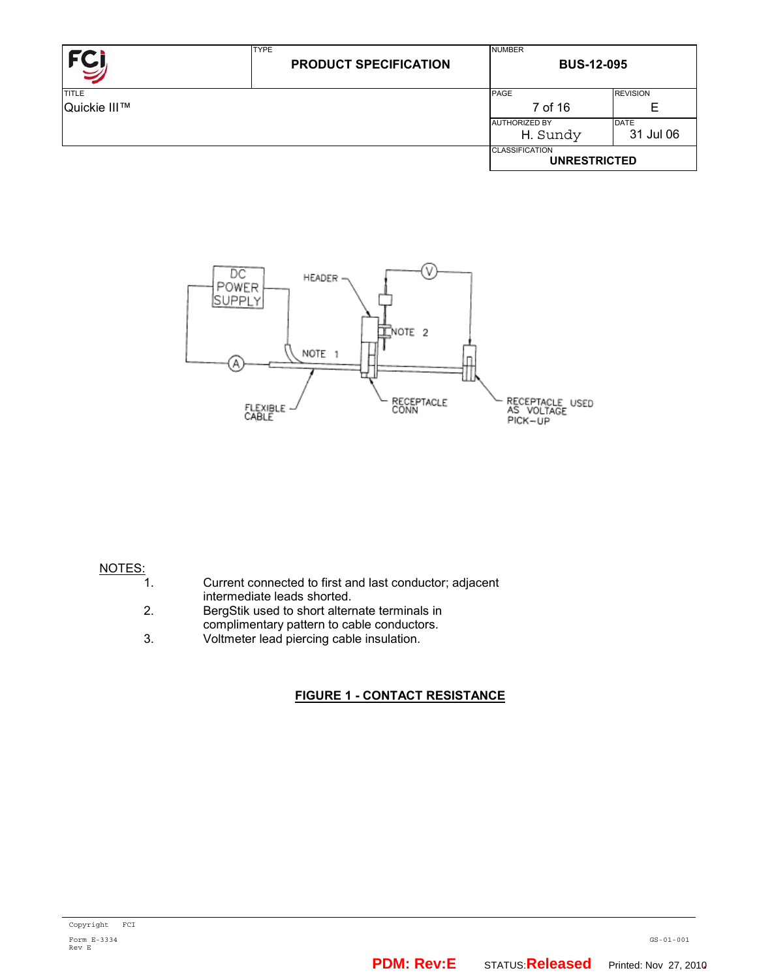| FC           | <b>TYPE</b><br><b>PRODUCT SPECIFICATION</b> | <b>NUMBER</b><br><b>BUS-12-095</b>           |                 |
|--------------|---------------------------------------------|----------------------------------------------|-----------------|
| <b>TITLE</b> |                                             | PAGE                                         | <b>REVISION</b> |
| Quickie III™ |                                             | 7 of 16                                      | E               |
|              |                                             | <b>AUTHORIZED BY</b>                         | <b>DATE</b>     |
|              |                                             | H. Sundy                                     | 31 Jul 06       |
|              |                                             | <b>CLASSIFICATION</b><br><b>UNRESTRICTED</b> |                 |



#### NOTES:

| Current connected to first and last conductor; adjacent |
|---------------------------------------------------------|
| intermediate leads shorted.                             |

- 2. BergStik used to short alternate terminals in complimentary pattern to cable conductors.<br>3. Voltmeter lead piercing cable insulation.
- Voltmeter lead piercing cable insulation.

## **FIGURE 1 - CONTACT RESISTANCE**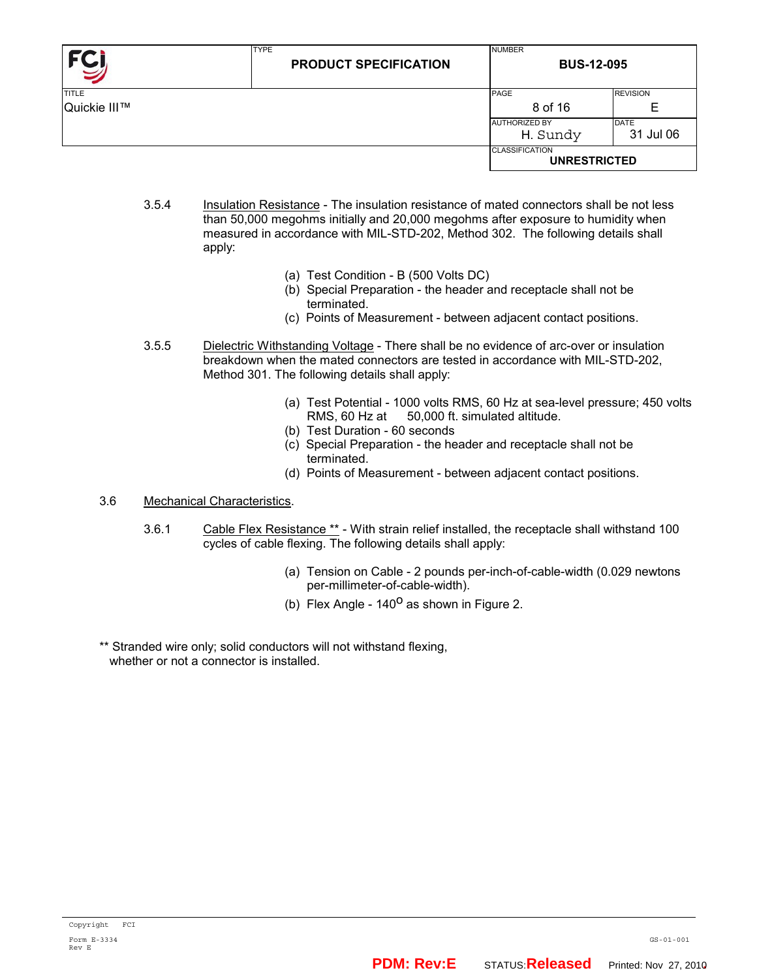| FC,          | <b>TYPE</b><br><b>PRODUCT SPECIFICATION</b> | <b>NUMBER</b><br><b>BUS-12-095</b>           |                   |  |
|--------------|---------------------------------------------|----------------------------------------------|-------------------|--|
| TITLE        |                                             | PAGE                                         | <b>REVISION</b>   |  |
| Quickie III™ |                                             | 8 of 16                                      | Е                 |  |
|              |                                             | <b>AUTHORIZED BY</b><br>H. Sundy             | DATE<br>31 Jul 06 |  |
|              |                                             | <b>CLASSIFICATION</b><br><b>UNRESTRICTED</b> |                   |  |

- 3.5.4 Insulation Resistance The insulation resistance of mated connectors shall be not less than 50,000 megohms initially and 20,000 megohms after exposure to humidity when measured in accordance with MIL-STD-202, Method 302. The following details shall apply:
	- (a) Test Condition B (500 Volts DC)
	- (b) Special Preparation the header and receptacle shall not be terminated.
	- (c) Points of Measurement between adjacent contact positions.
- 3.5.5 Dielectric Withstanding Voltage There shall be no evidence of arc-over or insulation breakdown when the mated connectors are tested in accordance with MIL-STD-202, Method 301. The following details shall apply:
	- (a) Test Potential 1000 volts RMS, 60 Hz at sea-level pressure; 450 volts RMS, 60 Hz at 50,000 ft. simulated altitude.
	- (b) Test Duration 60 seconds
	- (c) Special Preparation the header and receptacle shall not be terminated.
	- (d) Points of Measurement between adjacent contact positions.

#### 3.6 Mechanical Characteristics.

- 3.6.1 Cable Flex Resistance \*\* With strain relief installed, the receptacle shall withstand 100 cycles of cable flexing. The following details shall apply:
	- (a) Tension on Cable 2 pounds per-inch-of-cable-width (0.029 newtons per-millimeter-of-cable-width).
	- (b) Flex Angle  $140^{\circ}$  as shown in Figure 2.
- \*\* Stranded wire only; solid conductors will not withstand flexing, whether or not a connector is installed.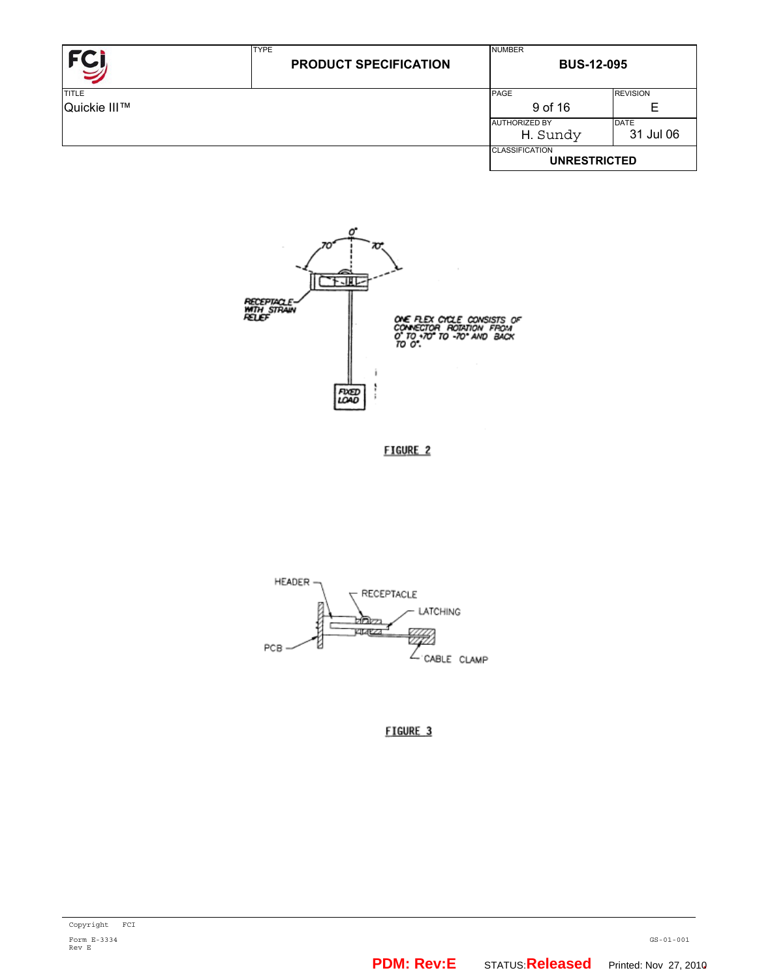|              | <b>TYPE</b><br><b>PRODUCT SPECIFICATION</b> | <b>NUMBER</b><br><b>BUS-12-095</b>           |                 |  |
|--------------|---------------------------------------------|----------------------------------------------|-----------------|--|
| <b>TITLE</b> |                                             | PAGE                                         | <b>REVISION</b> |  |
| Quickie III™ |                                             | 9 of 16                                      | Е               |  |
|              |                                             | <b>AUTHORIZED BY</b>                         | <b>DATE</b>     |  |
|              |                                             | H. Sundy                                     | 31 Jul 06       |  |
|              |                                             | <b>CLASSIFICATION</b><br><b>UNRESTRICTED</b> |                 |  |



FIGURE 2



FIGURE 3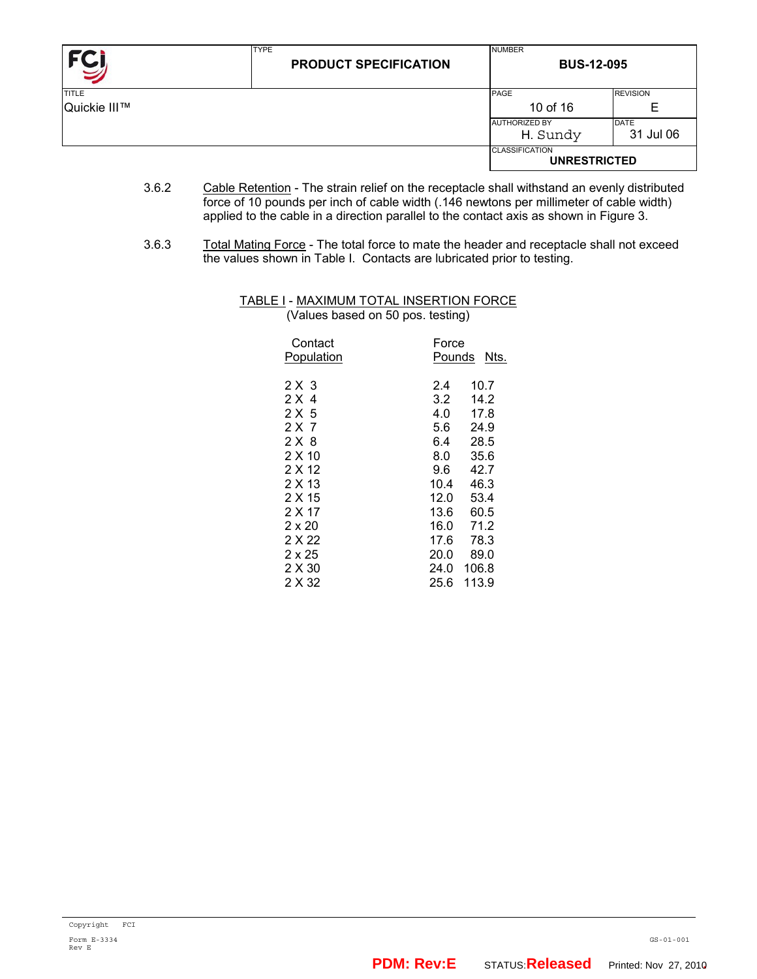| FC <sub>I</sub> | <b>TYPE</b><br><b>PRODUCT SPECIFICATION</b> | <b>NUMBER</b><br><b>BUS-12-095</b>           |                 |  |
|-----------------|---------------------------------------------|----------------------------------------------|-----------------|--|
| <b>TITLE</b>    |                                             | <b>PAGE</b>                                  | <b>REVISION</b> |  |
| Quickie III™    |                                             | 10 of 16                                     | Е               |  |
|                 |                                             | <b>AUTHORIZED BY</b>                         | DATE            |  |
|                 |                                             | H. Sundy                                     | 31 Jul 06       |  |
|                 |                                             | <b>CLASSIFICATION</b><br><b>UNRESTRICTED</b> |                 |  |

- 3.6.2 Cable Retention The strain relief on the receptacle shall withstand an evenly distributed force of 10 pounds per inch of cable width (.146 newtons per millimeter of cable width) applied to the cable in a direction parallel to the contact axis as shown in Figure 3.
- 3.6.3 Total Mating Force The total force to mate the header and receptacle shall not exceed the values shown in Table I. Contacts are lubricated prior to testing.

#### TABLE I - MAXIMUM TOTAL INSERTION FORCE (Values based on 50 pos. testing)

| Contact<br>Population | Force<br>Pounds<br>Nts. |
|-----------------------|-------------------------|
| 2 X 3                 | 10.7<br>2.4             |
| 2 X 4                 | 14.2<br>3.2             |
| 2 X 5                 | 4.0<br>17.8             |
| 2 X 7                 | 24.9<br>5.6             |
| 2 X 8                 | 28.5<br>6.4             |
| 2 X 10                | 8.0<br>35.6             |
| 2 X 12                | 9.6<br>42.7             |
| 2 X 13                | 46.3<br>10.4            |
| 2 X 15                | 12.0<br>53.4            |
| 2 X 17                | 13.6<br>60.5            |
| $2 \times 20$         | 71.2<br>16.0            |
| 2 X 22                | 17.6<br>78.3            |
| $2 \times 25$         | 20.0<br>89.0            |
| 2 X 30                | 106.8<br>24.0           |
| 2 X 32                | 113.9<br>25.6           |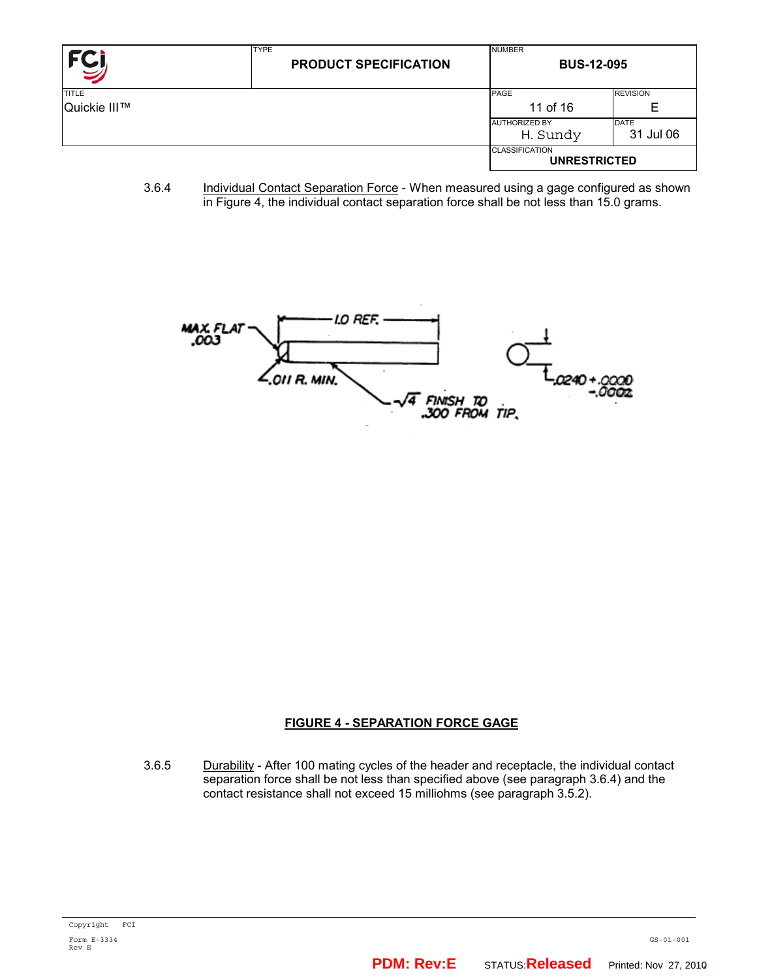| <b>FC</b>    | <b>TYPE</b><br><b>PRODUCT SPECIFICATION</b> | <b>NUMBER</b><br><b>BUS-12-095</b>           |                 |  |
|--------------|---------------------------------------------|----------------------------------------------|-----------------|--|
| <b>TITLE</b> |                                             | PAGE                                         | <b>REVISION</b> |  |
| Quickie III™ |                                             | 11 of 16                                     | E               |  |
|              |                                             | <b>AUTHORIZED BY</b>                         | <b>DATE</b>     |  |
|              |                                             | H. Sundy                                     | 31 Jul 06       |  |
|              |                                             | <b>CLASSIFICATION</b><br><b>UNRESTRICTED</b> |                 |  |

3.6.4 Individual Contact Separation Force - When measured using a gage configured as shown in Figure 4, the individual contact separation force shall be not less than 15.0 grams.



## **FIGURE 4 - SEPARATION FORCE GAGE**

3.6.5 Durability - After 100 mating cycles of the header and receptacle, the individual contact separation force shall be not less than specified above (see paragraph 3.6.4) and the contact resistance shall not exceed 15 milliohms (see paragraph 3.5.2).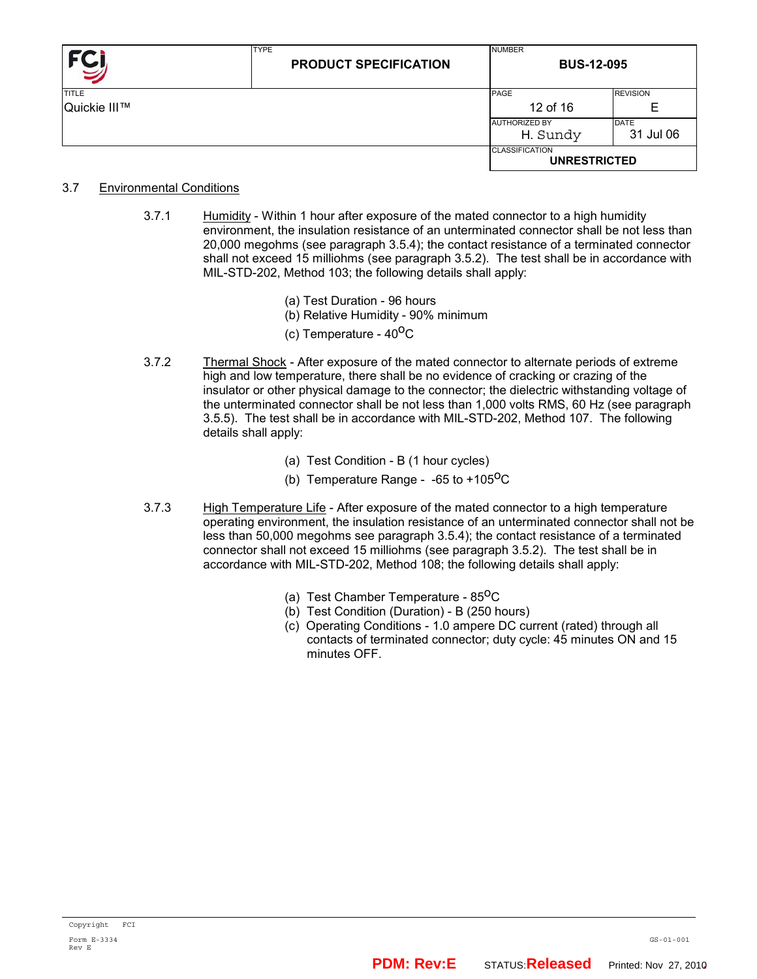| FCI          | <b>TYPE</b><br><b>PRODUCT SPECIFICATION</b> | <b>NUMBER</b><br><b>BUS-12-095</b>           |                 |  |
|--------------|---------------------------------------------|----------------------------------------------|-----------------|--|
| <b>TITLE</b> |                                             | PAGE                                         | <b>REVISION</b> |  |
| Quickie III™ |                                             | 12 of 16                                     | E               |  |
|              |                                             | <b>AUTHORIZED BY</b>                         | <b>DATE</b>     |  |
|              |                                             | H. Sundy                                     | 31 Jul 06       |  |
|              |                                             | <b>CLASSIFICATION</b><br><b>UNRESTRICTED</b> |                 |  |

#### 3.7 Environmental Conditions

- 3.7.1 Humidity Within 1 hour after exposure of the mated connector to a high humidity environment, the insulation resistance of an unterminated connector shall be not less than 20,000 megohms (see paragraph 3.5.4); the contact resistance of a terminated connector shall not exceed 15 milliohms (see paragraph 3.5.2). The test shall be in accordance with MIL-STD-202, Method 103; the following details shall apply:
	- (a) Test Duration 96 hours
	- (b) Relative Humidity 90% minimum
	- (c) Temperature  $40^{\circ}$ C
- 3.7.2 Thermal Shock After exposure of the mated connector to alternate periods of extreme high and low temperature, there shall be no evidence of cracking or crazing of the insulator or other physical damage to the connector; the dielectric withstanding voltage of the unterminated connector shall be not less than 1,000 volts RMS, 60 Hz (see paragraph 3.5.5). The test shall be in accordance with MIL-STD-202, Method 107. The following details shall apply:
	- (a) Test Condition B (1 hour cycles)
	- (b) Temperature Range  $-65$  to  $+105^{\circ}$ C
- 3.7.3 High Temperature Life After exposure of the mated connector to a high temperature operating environment, the insulation resistance of an unterminated connector shall not be less than 50,000 megohms see paragraph 3.5.4); the contact resistance of a terminated connector shall not exceed 15 milliohms (see paragraph 3.5.2). The test shall be in accordance with MIL-STD-202, Method 108; the following details shall apply:
	- (a) Test Chamber Temperature  $85^{\circ}$ C
	- (b) Test Condition (Duration) B (250 hours)
	- (c) Operating Conditions 1.0 ampere DC current (rated) through all contacts of terminated connector; duty cycle: 45 minutes ON and 15 minutes OFF.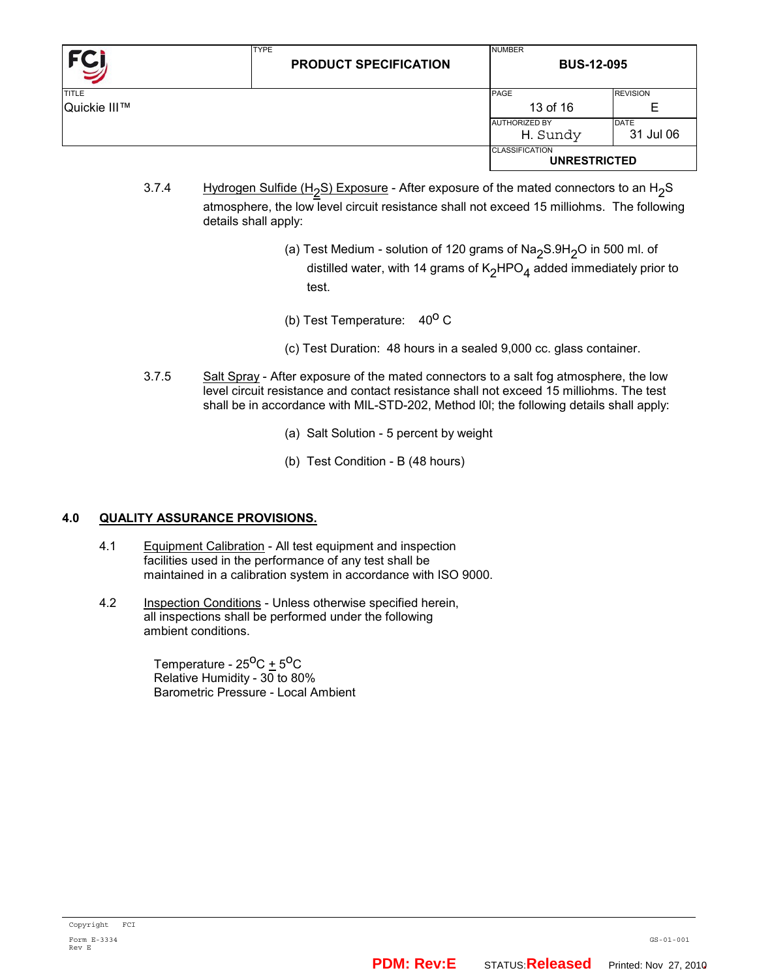|              | <b>TYPE</b><br><b>PRODUCT SPECIFICATION</b> | <b>NUMBER</b><br><b>BUS-12-095</b>           |                   |
|--------------|---------------------------------------------|----------------------------------------------|-------------------|
| <b>TITLE</b> |                                             | <b>PAGE</b>                                  | <b>REVISION</b>   |
| Quickie III™ |                                             | 13 of 16                                     | E                 |
|              |                                             | <b>AUTHORIZED BY</b><br>H. Sundy             | DATE<br>31 Jul 06 |
|              |                                             | <b>CLASSIFICATION</b><br><b>UNRESTRICTED</b> |                   |

- 3.7.4 Hydrogen Sulfide (H<sub>2</sub>S) Exposure After exposure of the mated connectors to an H<sub>2</sub>S atmosphere, the low level circuit resistance shall not exceed 15 milliohms. The following details shall apply:
	- (a) Test Medium solution of 120 grams of Na<sub>2</sub>S.9H<sub>2</sub>O in 500 ml. of distilled water, with 14 grams of  $K_2HPO_4$  added immediately prior to test.
	- (b) Test Temperature:  $40^{\circ}$  C
	- (c) Test Duration: 48 hours in a sealed 9,000 cc. glass container.
- 3.7.5 Salt Spray After exposure of the mated connectors to a salt fog atmosphere, the low level circuit resistance and contact resistance shall not exceed 15 milliohms. The test shall be in accordance with MIL-STD-202, Method l0l; the following details shall apply:
	- (a) Salt Solution 5 percent by weight
	- (b) Test Condition B (48 hours)

## **4.0 QUALITY ASSURANCE PROVISIONS.**

- 4.1 Equipment Calibration All test equipment and inspection facilities used in the performance of any test shall be maintained in a calibration system in accordance with ISO 9000.
- 4.2 Inspection Conditions Unless otherwise specified herein, all inspections shall be performed under the following ambient conditions.

Temperature -  $25^{\circ}$ C +  $5^{\circ}$ C Relative Humidity -  $30$  to 80% Barometric Pressure - Local Ambient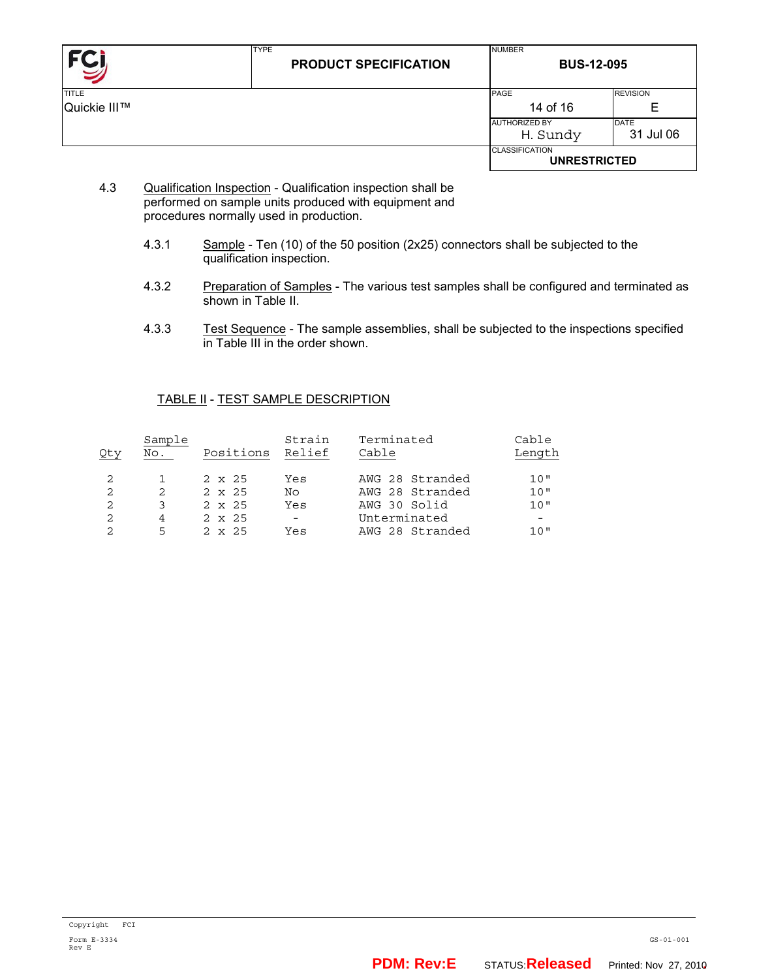| FC           | <b>TYPE</b><br><b>PRODUCT SPECIFICATION</b> | <b>NUMBER</b><br><b>BUS-12-095</b>           |                          |  |
|--------------|---------------------------------------------|----------------------------------------------|--------------------------|--|
| <b>TITLE</b> |                                             | PAGE                                         | <b>REVISION</b>          |  |
| Quickie III™ |                                             | 14 of 16                                     | Е                        |  |
|              |                                             | <b>AUTHORIZED BY</b><br>H. Sundy             | <b>DATE</b><br>31 Jul 06 |  |
|              |                                             | <b>CLASSIFICATION</b><br><b>UNRESTRICTED</b> |                          |  |

- 4.3 Qualification Inspection Qualification inspection shall be performed on sample units produced with equipment and procedures normally used in production.
	- 4.3.1 Sample Ten (10) of the 50 position (2x25) connectors shall be subjected to the qualification inspection.
	- 4.3.2 Preparation of Samples The various test samples shall be configured and terminated as shown in Table II.
	- 4.3.3 Test Sequence The sample assemblies, shall be subjected to the inspections specified in Table III in the order shown.

#### TABLE II - TEST SAMPLE DESCRIPTION

| Qty | Sample<br>No. | Positions     | Strain<br>Relief         | Terminated<br>Cable | Cable<br>Length |
|-----|---------------|---------------|--------------------------|---------------------|-----------------|
|     |               | $2 \times 25$ | Yes                      | AWG 28 Stranded     | 10"             |
| 2   | 2             | $2 \times 25$ | No                       | AWG 28 Stranded     | 10"             |
| 2   | 3             | $2 \times 25$ | Yes                      | AWG 30 Solid        | 10"             |
|     | 4             | $2 \times 25$ | $\overline{\phantom{a}}$ | Unterminated        |                 |
|     | 5             | $2 \times 25$ | Yes                      | AWG 28 Stranded     | 1 O "           |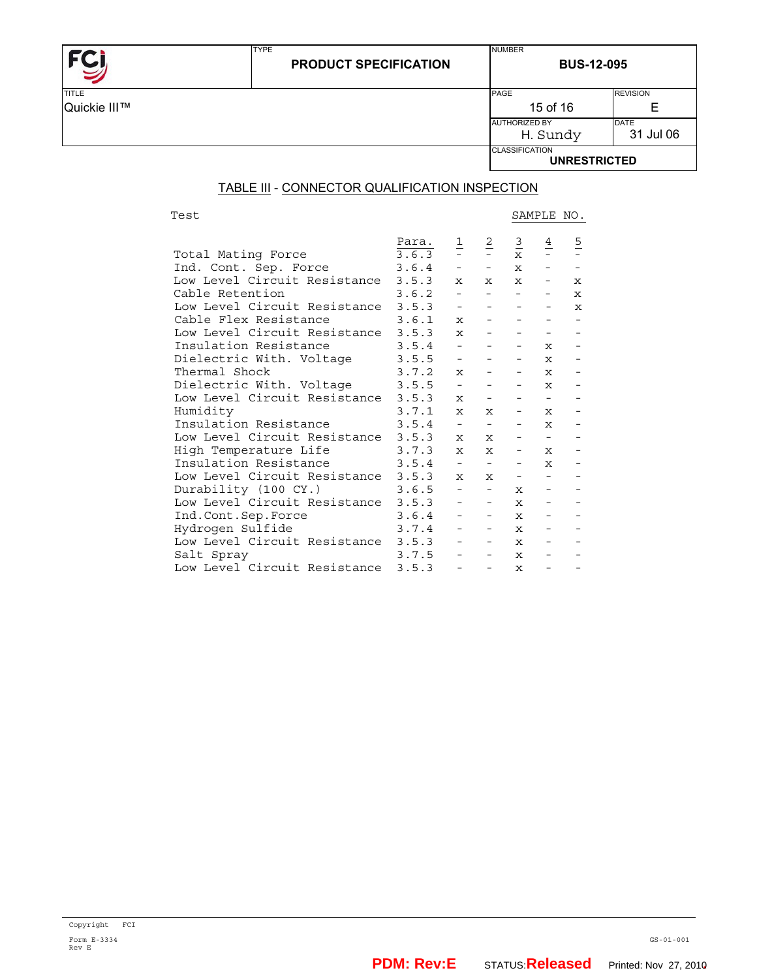| $TITI$ F |  |
|----------|--|

TYPE

**BUS-12-095** 

NUMBER

| <b>TITLE</b> | PAGE                                         | <b>REVISION</b> |
|--------------|----------------------------------------------|-----------------|
| Quickie III™ | 15 of 16                                     | ╘               |
|              | <b>AUTHORIZED BY</b>                         | DATE            |
|              | H. Sundy                                     | 31 Jul 06       |
|              | <b>CLASSIFICATION</b><br><b>UNRESTRICTED</b> |                 |

## TABLE III - CONNECTOR QUALIFICATION INSPECTION

Test SAMPLE NO.

|                                    | Para. | $\frac{1}{2}$                                     | $\frac{2}{\pi}$                               |                                               | $\frac{4}{1}$                                     | $rac{5}{1}$ |
|------------------------------------|-------|---------------------------------------------------|-----------------------------------------------|-----------------------------------------------|---------------------------------------------------|-------------|
| Total Mating Force                 | 3.6.3 |                                                   |                                               | $\frac{3}{x}$                                 |                                                   |             |
| Ind. Cont. Sep. Force              | 3.6.4 | $\equiv$                                          | $\frac{1}{2}$ and $\frac{1}{2}$               | $\mathbf x$                                   | $\mathbf{L} = \mathbf{L}$                         |             |
| Low Level Circuit Resistance       | 3.5.3 | $\mathbf{x}$                                      | $\mathbf x$                                   | $\mathbf x$                                   | $\overline{\phantom{a}}$                          | $\mathbf x$ |
| Cable Retention                    | 3.6.2 | $\omega_{\rm{max}}$                               |                                               | $\omega_{\rm{max}}$ and $\omega_{\rm{max}}$ . |                                                   | $\mathbf x$ |
| Low Level Circuit Resistance 3.5.3 |       | $\omega_{\rm{max}}$                               |                                               | <b>Contract Contract</b>                      | $\overline{\phantom{a}}$                          | $\mathbf x$ |
| Cable Flex Resistance              | 3.6.1 | $\mathbf x$                                       | <b>Contract</b>                               | <b>Contract Contract</b>                      | $\overline{\phantom{a}}$                          |             |
| Low Level Circuit Resistance 3.5.3 |       | $\mathbf x$                                       |                                               |                                               | $-$                                               |             |
| Insulation Resistance              | 3.5.4 | $\omega_{\rm{max}}$                               |                                               |                                               | $\mathbf x$                                       |             |
| Dielectric With. Voltage           | 3.5.5 |                                                   |                                               |                                               | $\mathbf x$                                       |             |
| Thermal Shock                      | 3.7.2 | $\mathbf x$                                       | <b>Contract</b>                               | $-$ 100 $-$                                   | $\mathbf{x}$ -                                    |             |
| Dielectric With. Voltage           | 3.5.5 | $\frac{1}{2}$ and $\frac{1}{2}$                   | $\overline{\phantom{0}}$                      | $ -$                                          | $\mathbf{x}$ -                                    |             |
| Low Level Circuit Resistance       | 3.5.3 | $\mathbf{x}$                                      | $\sim$ 100 $\mu$ m $^{-1}$                    | $\sim$ 100 $\mu$ m $^{-1}$                    | $\frac{1}{2}$ and $\frac{1}{2}$ and $\frac{1}{2}$ |             |
| Humidity                           | 3.7.1 | $\mathbf x$                                       | $\mathbf x$                                   |                                               | $\mathbf x$                                       |             |
| Insulation Resistance              | 3.5.4 | $\overline{\phantom{a}}$                          | $\omega_{\rm{max}}$ and $\omega_{\rm{max}}$   |                                               | $\mathbf x$                                       |             |
| Low Level Circuit Resistance       | 3.5.3 | $\mathbf{x}$                                      | $\mathbf x$                                   |                                               | Andrew Artist                                     |             |
| High Temperature Life              | 3.7.3 | $\mathbf x$                                       | $\mathbf x$                                   | $\frac{1}{2}$ and $\frac{1}{2}$               | $\mathbf x$                                       |             |
| Insulation Resistance              | 3.5.4 | $\frac{1}{2}$ and $\frac{1}{2}$                   | <b>Contract Contract</b>                      |                                               | $ x$ $-$                                          |             |
| Low Level Circuit Resistance       | 3.5.3 | $\mathbf x$                                       | $\mathbf x$                                   |                                               | <b>All Common</b>                                 |             |
| Durability (100 CY.)               | 3.6.5 |                                                   | $\omega_{\rm{max}}$ and $\omega_{\rm{max}}$ . | $\mathbf x$                                   | $\overline{\phantom{a}}$                          |             |
| Low Level Circuit Resistance       | 3.5.3 | $\omega_{\rm{max}}$                               | $\sim 100$                                    | $\mathbf x$                                   | $\frac{1}{2}$ and $\frac{1}{2}$                   |             |
| Ind.Cont.Sep.Force                 | 3.6.4 | $\overline{\phantom{a}}$                          | <b>Service</b>                                | $\mathbf x$                                   | $\overline{\phantom{a}}$                          |             |
| Hydrogen Sulfide                   | 3.7.4 | $\overline{\phantom{a}}$                          |                                               | $\mathbf x$                                   | $\overline{\phantom{a}}$                          |             |
| Low Level Circuit Resistance       | 3.5.3 |                                                   |                                               | $\mathbf x$                                   |                                                   |             |
| Salt Spray                         | 3.7.5 | $\frac{1}{2}$ and $\frac{1}{2}$ and $\frac{1}{2}$ | $\sim$ 100 $\mu$                              | $\mathbf x$                                   | $\overline{\phantom{a}}$                          |             |
| Low Level Circuit Resistance       | 3.5.3 | $\equiv$                                          | $\overline{\phantom{a}}$                      | $\mathbf x$                                   | $\equiv$                                          |             |